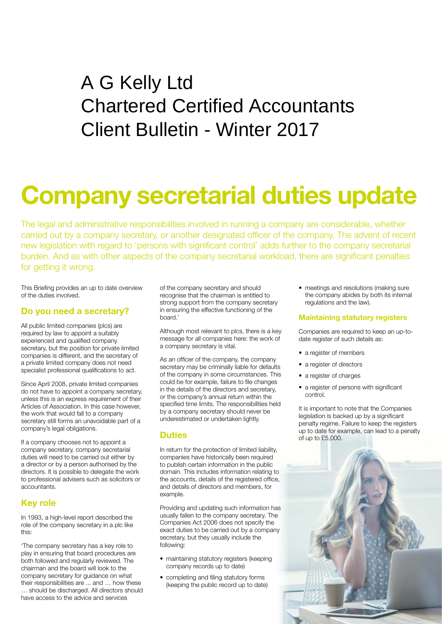# A G Kelly Ltd Chartered Certified Accountants Client Bulletin - Winter 2017

# **Company secretarial duties update**

The legal and administrative responsibilities involved in running a company are considerable, whether carried out by a company secretary, or another designated officer of the company. The advent of recent new legislation with regard to 'persons with significant control' adds further to the company secretarial burden. And as with other aspects of the company secretarial workload, there are significant penalties for getting it wrong.

This Briefing provides an up to date overview of the duties involved.

#### **Do you need a secretary?**

 All public limited companies (plcs) are required by law to appoint a suitably experienced and qualified company secretary, but the position for private limited companies is different, and the secretary of a private limited company does not need specialist professional qualifications to act.

Since April 2008, private limited companies do not have to appoint a company secretary, unless this is an express requirement of their Articles of Association. In this case however the work that would fall to a company secretary still forms an unavoidable part of a company's legal obligations.

If a company chooses not to appoint a company secretary, company secretarial duties will need to be carried out either by a director or by a person authorised by the directors. It is possible to delegate the work to professional advisers such as solicitors or accountants.

## **Key role**

 In 1993, a high-level report described the role of the company secretary in a plc like this:

'The company secretary has a key role to play in ensuring that board procedures are both followed and regularly reviewed. The chairman and the board will look to the company secretary for guidance on what their responsibilities are ... and … how these

… should be discharged. All directors should have access to the advice and services

of the company secretary and should recognise that the chairman is entitled to strong support from the company secretary in ensuring the effective functioning of the board.'

Although most relevant to plcs, there is a key message for all companies here: the work of a company secretary is vital.

As an officer of the company, the company secretary may be criminally liable for defaults of the company in some circumstances. This could be for example, failure to file changes in the details of the directors and secretary, or the company's annual return within the specified time limits. The responsibilities held by a company secretary should never be underestimated or undertaken lightly.

## **Duties**

In return for the protection of limited liability, companies have historically been required to publish certain information in the public domain. This includes information relating to the accounts, details of the registered office. and details of directors and members, for example

Providing and updating such information has usually fallen to the company secretary. The Companies Act 2006 does not specify the exact duties to be carried out by a company secretary, but they usually include the following:

- maintaining statutory registers (keeping company records up to date)
- completing and filing statutory forms (keeping the public record up to date)

• meetings and resolutions (making sure the company abides by both its internal regulations and the law).

#### **Maintaining statutory registers**

Companies are required to keep an up-todate register of such details as:

- a register of members
- a register of directors
- a register of charges
- a register of persons with significant control.

It is important to note that the Companies legislation is backed up by a significant penalty regime. Failure to keep the registers up to date for example, can lead to a penalty of up to £5,000.